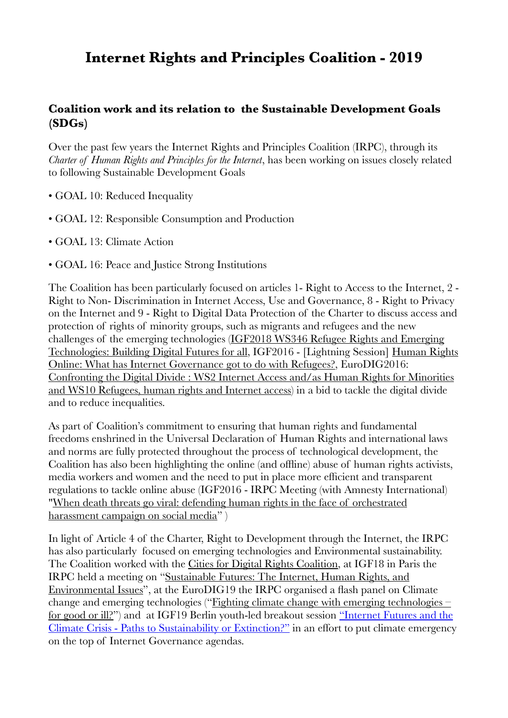# **Internet Rights and Principles Coalition - 2019**

#### **Coalition work and its relation to the Sustainable Development Goals (SDGs)**

Over the past few years the Internet Rights and Principles Coalition (IRPC), through its *Charter of Human Rights and Principles for the Internet*, has been working on issues closely related to following Sustainable Development Goals

- GOAL 10: Reduced Inequality
- GOAL 12: Responsible Consumption and Production
- GOAL 13: Climate Action
- GOAL 16: Peace and Justice Strong Institutions

The Coalition has been particularly focused on articles 1- Right to Access to the Internet, 2 - Right to Non- Discrimination in Internet Access, Use and Governance, 8 - Right to Privacy on the Internet and 9 - Right to Digital Data Protection of the Charter to discuss access and protection of rights of minority groups, such as migrants and refugees and the new challenges of the emerging technologies ([IGF2018 WS346 Refugee Rights and Emerging](https://www.intgovforum.org/multilingual/content/igf-2018-ws-346-refugee-rights-and-emerging-technologies-building-digital-futures-for-all)  [Technologies: Building Digital Futures for all](https://www.intgovforum.org/multilingual/content/igf-2018-ws-346-refugee-rights-and-emerging-technologies-building-digital-futures-for-all), IGF2016 - [Lightning Session] [Human Rights](https://igf2016.sched.com/event/90y5/lightning-session-human-rights-online-what-has-internet-governance-got-to-do-with-refugees)  [Online: What has Internet Governance got to do with Refugees?,](https://igf2016.sched.com/event/90y5/lightning-session-human-rights-online-what-has-internet-governance-got-to-do-with-refugees) EuroDIG2016: [Confronting the Digital Divide : WS2 Internet Access and/as Human Rights for Minorities](https://eurodigwiki.org/wiki/WS_2:_Confronting_the_digital_divide_(1)_-_Internet_access_and/as_human_rights_for_minorities)  [and WS10 Refugees, human rights and Internet access](https://eurodigwiki.org/wiki/WS_2:_Confronting_the_digital_divide_(1)_-_Internet_access_and/as_human_rights_for_minorities)) in a bid to tackle the digital divide and to reduce inequalities.

As part of Coalition's commitment to ensuring that human rights and fundamental freedoms enshrined in the Universal Declaration of Human Rights and international laws and norms are fully protected throughout the process of technological development, the Coalition has also been highlighting the online (and offline) abuse of human rights activists, media workers and women and the need to put in place more efficient and transparent regulations to tackle online abuse (IGF2016 - IRPC Meeting (with Amnesty International) "[When death threats go viral: defending human rights in the face of orchestrated](https://igf2016.sched.com/event/8htr)  [harassment campaign on social media"](https://igf2016.sched.com/event/8htr)

In light of Article 4 of the Charter, Right to Development through the Internet, the IRPC has also particularly focused on emerging technologies and Environmental sustainability. The Coalition worked with the [Cities for Digital Rights Coalition](https://citiesfordigitalrights.org/#declaration), at IGF18 in Paris the IRPC held a meeting on ["Sustainable Futures: The Internet, Human Rights, and](https://www.intgovforum.org/multilingual/content/igf-2018-dc-internet-rights-and-principles-sustainable-futures-the-internet-human-rights-and)  [Environmental Issues"](https://www.intgovforum.org/multilingual/content/igf-2018-dc-internet-rights-and-principles-sustainable-futures-the-internet-human-rights-and), at the EuroDIG19 the IRPC organised a flash panel on Climate change and emerging technologies ("[Fighting climate change with emerging technologies –](https://eurodigwiki.org/wiki/Fighting_climate_change_with_emerging_technologies_%E2%80%93_for_good_or_ill?_%E2%80%93_Flash_13_2019)  [for good or ill?"](https://eurodigwiki.org/wiki/Fighting_climate_change_with_emerging_technologies_%E2%80%93_for_good_or_ill?_%E2%80%93_Flash_13_2019)) and at IGF19 Berlin youth-led breakout session ["Internet Futures and the](https://sched.co/SU3a)  [Climate Crisis - Paths to Sustainability or Extinction?"](https://sched.co/SU3a) in an effort to put climate emergency on the top of Internet Governance agendas.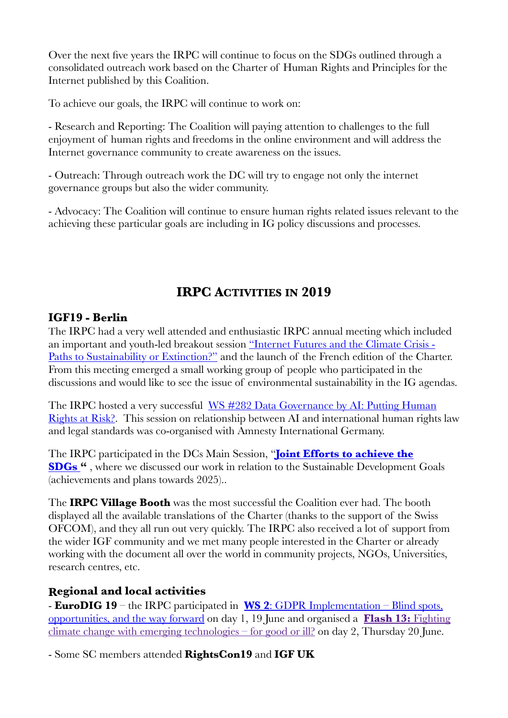Over the next five years the IRPC will continue to focus on the SDGs outlined through a consolidated outreach work based on the Charter of Human Rights and Principles for the Internet published by this Coalition.

To achieve our goals, the IRPC will continue to work on:

- Research and Reporting: The Coalition will paying attention to challenges to the full enjoyment of human rights and freedoms in the online environment and will address the Internet governance community to create awareness on the issues.

- Outreach: Through outreach work the DC will try to engage not only the internet governance groups but also the wider community.

- Advocacy: The Coalition will continue to ensure human rights related issues relevant to the achieving these particular goals are including in IG policy discussions and processes.

## **IRPC ACTIVITIES IN 2019**

#### **IGF19 - Berlin**

The IRPC had a very well attended and enthusiastic IRPC annual meeting which included an important and youth-led breakout session ["Internet Futures and the Climate Crisis -](https://sched.co/SU3a)  [Paths to Sustainability or Extinction?"](https://sched.co/SU3a) and the launch of the French edition of the Charter. From this meeting emerged a small working group of people who participated in the discussions and would like to see the issue of environmental sustainability in the IG agendas.

The IRPC hosted a very successful [WS #282 Data Governance by AI: Putting Human](https://sched.co/SU22)  [Rights at Risk?.](https://sched.co/SU22) This session on relationship between AI and international human rights law and legal standards was co-organised with Amnesty International Germany.

The IRPC participated in the DCs Main Session, "**[Joint Efforts to achieve the](https://sched.co/SU44)  [SDGs](https://sched.co/SU44) "** , where we discussed our work in relation to the Sustainable Development Goals (achievements and plans towards 2025)..

The **IRPC Village Booth** was the most successful the Coalition ever had. The booth displayed all the available translations of the Charter (thanks to the support of the Swiss OFCOM), and they all run out very quickly. The IRPC also received a lot of support from the wider IGF community and we met many people interested in the Charter or already working with the document all over the world in community projects, NGOs, Universities, research centres, etc.

### **Regional and local activities**

- **EuroDIG 19** – the IRPC participated in **WS 2**[: GDPR Implementation – Blind spots,](https://eurodigwiki.org/wiki/GDPR_Implementation_%E2%80%93_Blind_spots,_opportunities,_and_the_way_forward_%E2%80%93_WS_02_2019)  [opportunities, and the way forward](https://eurodigwiki.org/wiki/GDPR_Implementation_%E2%80%93_Blind_spots,_opportunities,_and_the_way_forward_%E2%80%93_WS_02_2019) on day 1, 19 June and organised a **[Flash 13:](https://eurodigwiki.org/wiki/Fighting_climate_change_with_emerging_technologies_%E2%80%93_for_good_or_ill%3F_%E2%80%93_Flash_13_2019)** Fighting [climate change with emerging technologies – for good or ill?](https://eurodigwiki.org/wiki/Fighting_climate_change_with_emerging_technologies_%E2%80%93_for_good_or_ill%3F_%E2%80%93_Flash_13_2019) on day 2, Thursday 20 June.

- Some SC members attended **RightsCon19** and **IGF UK**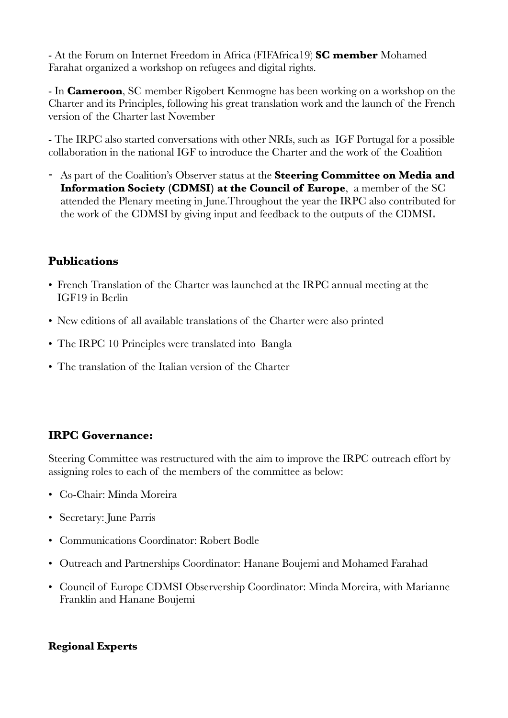- At the Forum on Internet Freedom in Africa (FIFAfrica19) **SC member** Mohamed Farahat organized a workshop on refugees and digital rights.

- In **Cameroon**, SC member Rigobert Kenmogne has been working on a workshop on the Charter and its Principles, following his great translation work and the launch of the French version of the Charter last November

- The IRPC also started conversations with other NRIs, such as IGF Portugal for a possible collaboration in the national IGF to introduce the Charter and the work of the Coalition

- As part of the Coalition's Observer status at the **Steering Committee on Media and Information Society (CDMSI) at the Council of Europe**, a member of the SC attended the Plenary meeting in June.Throughout the year the IRPC also contributed for the work of the CDMSI by giving input and feedback to the outputs of the CDMSI**.** 

### **Publications**

- French Translation of the Charter was launched at the IRPC annual meeting at the IGF19 in Berlin
- New editions of all available translations of the Charter were also printed
- The IRPC 10 Principles were translated into Bangla
- The translation of the Italian version of the Charter

### **IRPC Governance:**

Steering Committee was restructured with the aim to improve the IRPC outreach effort by assigning roles to each of the members of the committee as below:

- Co-Chair: Minda Moreira
- Secretary: June Parris
- Communications Coordinator: Robert Bodle
- Outreach and Partnerships Coordinator: Hanane Boujemi and Mohamed Farahad
- Council of Europe CDMSI Observership Coordinator: Minda Moreira, with Marianne Franklin and Hanane Boujemi

#### **Regional Experts**